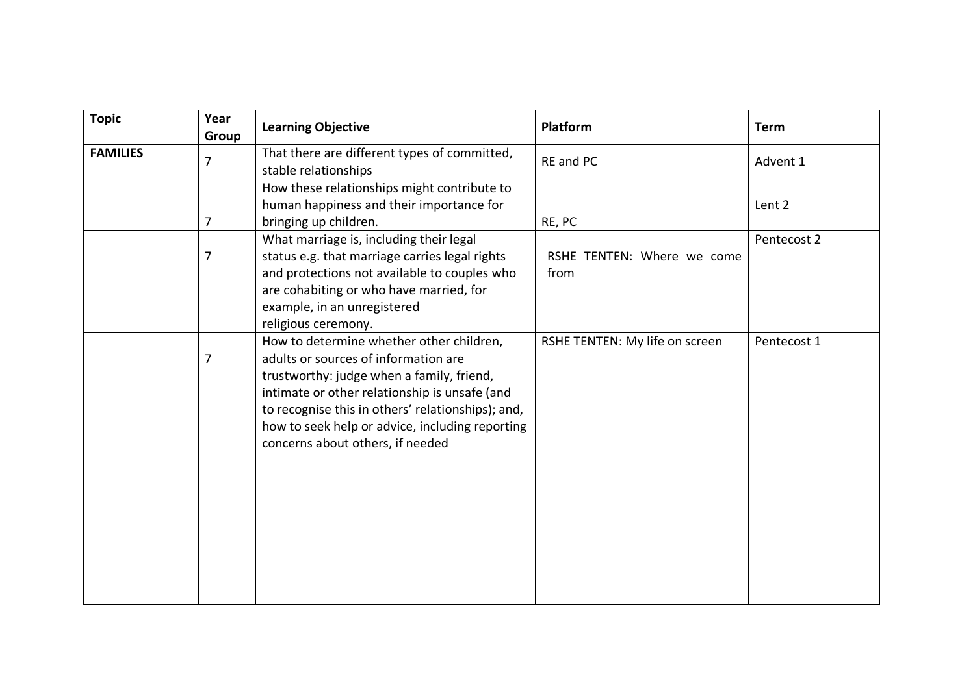| <b>Topic</b>    | Year<br>Group | <b>Learning Objective</b>                                                                                                                                                                                                                                                                                                  | Platform                           | <b>Term</b> |
|-----------------|---------------|----------------------------------------------------------------------------------------------------------------------------------------------------------------------------------------------------------------------------------------------------------------------------------------------------------------------------|------------------------------------|-------------|
| <b>FAMILIES</b> | 7             | That there are different types of committed,<br>stable relationships                                                                                                                                                                                                                                                       | RE and PC                          | Advent 1    |
|                 | 7             | How these relationships might contribute to<br>human happiness and their importance for<br>bringing up children.                                                                                                                                                                                                           | RE, PC                             | Lent 2      |
|                 | 7             | What marriage is, including their legal<br>status e.g. that marriage carries legal rights<br>and protections not available to couples who<br>are cohabiting or who have married, for<br>example, in an unregistered<br>religious ceremony.                                                                                 | RSHE TENTEN: Where we come<br>from | Pentecost 2 |
|                 | 7             | How to determine whether other children,<br>adults or sources of information are<br>trustworthy: judge when a family, friend,<br>intimate or other relationship is unsafe (and<br>to recognise this in others' relationships); and,<br>how to seek help or advice, including reporting<br>concerns about others, if needed | RSHE TENTEN: My life on screen     | Pentecost 1 |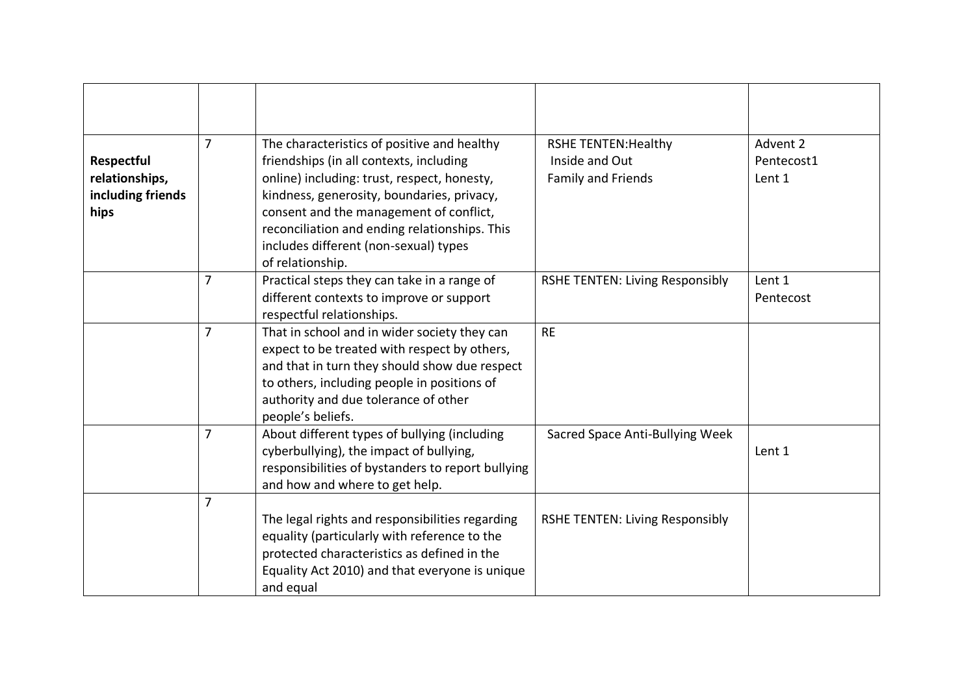| Respectful<br>relationships,<br>including friends<br>hips | $\overline{7}$ | The characteristics of positive and healthy<br>friendships (in all contexts, including<br>online) including: trust, respect, honesty,<br>kindness, generosity, boundaries, privacy,<br>consent and the management of conflict,<br>reconciliation and ending relationships. This<br>includes different (non-sexual) types<br>of relationship. | <b>RSHE TENTEN: Healthy</b><br>Inside and Out<br>Family and Friends | Advent 2<br>Pentecost1<br>Lent 1 |
|-----------------------------------------------------------|----------------|----------------------------------------------------------------------------------------------------------------------------------------------------------------------------------------------------------------------------------------------------------------------------------------------------------------------------------------------|---------------------------------------------------------------------|----------------------------------|
|                                                           | $\overline{7}$ | Practical steps they can take in a range of<br>different contexts to improve or support<br>respectful relationships.                                                                                                                                                                                                                         | <b>RSHE TENTEN: Living Responsibly</b>                              | Lent 1<br>Pentecost              |
|                                                           | $\overline{7}$ | That in school and in wider society they can<br>expect to be treated with respect by others,<br>and that in turn they should show due respect<br>to others, including people in positions of<br>authority and due tolerance of other<br>people's beliefs.                                                                                    | <b>RE</b>                                                           |                                  |
|                                                           | $\overline{7}$ | About different types of bullying (including<br>cyberbullying), the impact of bullying,<br>responsibilities of bystanders to report bullying<br>and how and where to get help.                                                                                                                                                               | Sacred Space Anti-Bullying Week                                     | Lent 1                           |
|                                                           | $\overline{7}$ | The legal rights and responsibilities regarding<br>equality (particularly with reference to the<br>protected characteristics as defined in the<br>Equality Act 2010) and that everyone is unique<br>and equal                                                                                                                                | <b>RSHE TENTEN: Living Responsibly</b>                              |                                  |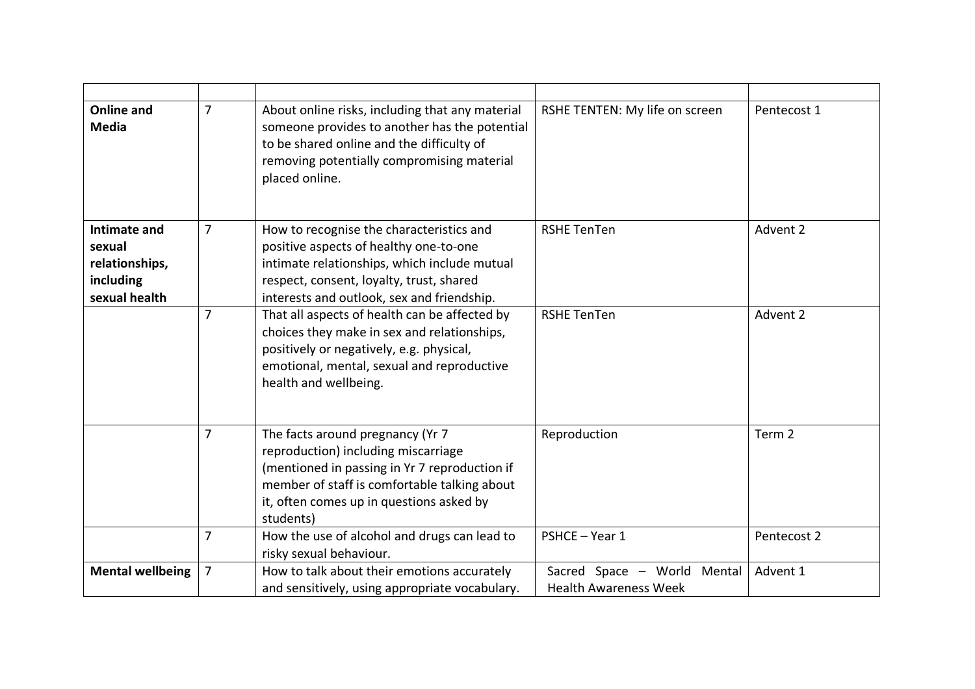| <b>Online and</b><br><b>Media</b>                                      | $\overline{7}$ | About online risks, including that any material<br>someone provides to another has the potential<br>to be shared online and the difficulty of<br>removing potentially compromising material<br>placed online.                     | RSHE TENTEN: My life on screen                              | Pentecost 1 |
|------------------------------------------------------------------------|----------------|-----------------------------------------------------------------------------------------------------------------------------------------------------------------------------------------------------------------------------------|-------------------------------------------------------------|-------------|
| Intimate and<br>sexual<br>relationships,<br>including<br>sexual health | $\overline{7}$ | How to recognise the characteristics and<br>positive aspects of healthy one-to-one<br>intimate relationships, which include mutual<br>respect, consent, loyalty, trust, shared<br>interests and outlook, sex and friendship.      | <b>RSHE TenTen</b>                                          | Advent 2    |
|                                                                        | $\overline{7}$ | That all aspects of health can be affected by<br>choices they make in sex and relationships,<br>positively or negatively, e.g. physical,<br>emotional, mental, sexual and reproductive<br>health and wellbeing.                   | <b>RSHE TenTen</b>                                          | Advent 2    |
|                                                                        | 7              | The facts around pregnancy (Yr 7<br>reproduction) including miscarriage<br>(mentioned in passing in Yr 7 reproduction if<br>member of staff is comfortable talking about<br>it, often comes up in questions asked by<br>students) | Reproduction                                                | Term 2      |
|                                                                        | $\overline{7}$ | How the use of alcohol and drugs can lead to<br>risky sexual behaviour.                                                                                                                                                           | PSHCE-Year 1                                                | Pentecost 2 |
| <b>Mental wellbeing</b>                                                | $\overline{7}$ | How to talk about their emotions accurately<br>and sensitively, using appropriate vocabulary.                                                                                                                                     | Sacred Space - World Mental<br><b>Health Awareness Week</b> | Advent 1    |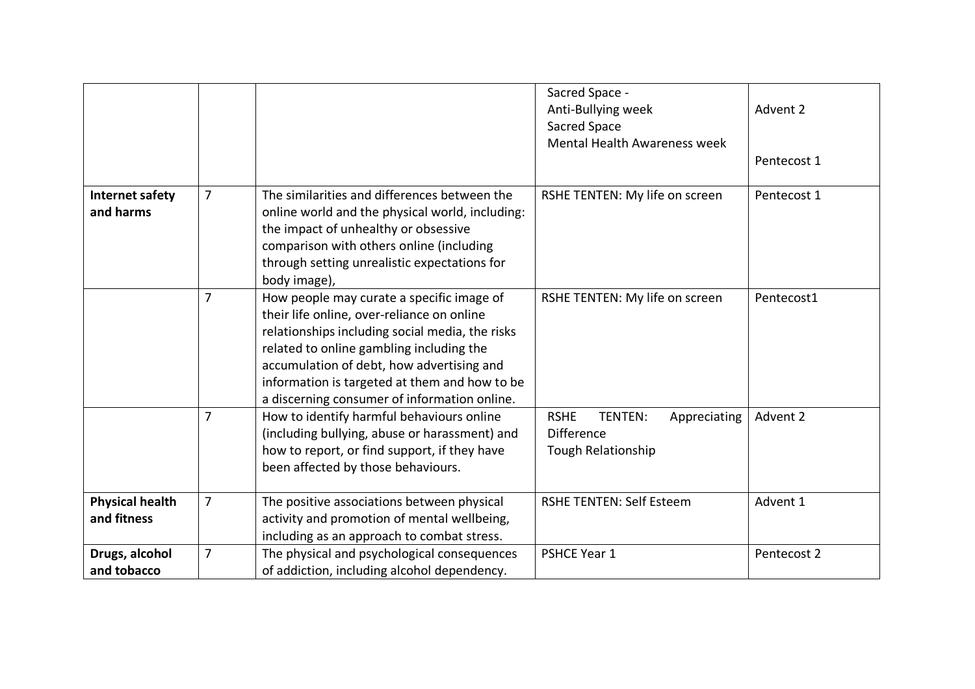|                                       |                |                                                                                                                                                                                                                                                                                                                                      | Sacred Space -<br>Anti-Bullying week<br>Sacred Space<br>Mental Health Awareness week     | Advent 2<br>Pentecost 1 |
|---------------------------------------|----------------|--------------------------------------------------------------------------------------------------------------------------------------------------------------------------------------------------------------------------------------------------------------------------------------------------------------------------------------|------------------------------------------------------------------------------------------|-------------------------|
| Internet safety<br>and harms          | $\overline{7}$ | The similarities and differences between the<br>online world and the physical world, including:<br>the impact of unhealthy or obsessive<br>comparison with others online (including<br>through setting unrealistic expectations for<br>body image),                                                                                  | RSHE TENTEN: My life on screen                                                           | Pentecost 1             |
|                                       | $\overline{7}$ | How people may curate a specific image of<br>their life online, over-reliance on online<br>relationships including social media, the risks<br>related to online gambling including the<br>accumulation of debt, how advertising and<br>information is targeted at them and how to be<br>a discerning consumer of information online. | RSHE TENTEN: My life on screen                                                           | Pentecost1              |
|                                       | $\overline{7}$ | How to identify harmful behaviours online<br>(including bullying, abuse or harassment) and<br>how to report, or find support, if they have<br>been affected by those behaviours.                                                                                                                                                     | <b>RSHE</b><br>TENTEN:<br>Appreciating<br><b>Difference</b><br><b>Tough Relationship</b> | Advent 2                |
| <b>Physical health</b><br>and fitness | 7              | The positive associations between physical<br>activity and promotion of mental wellbeing,<br>including as an approach to combat stress.                                                                                                                                                                                              | <b>RSHE TENTEN: Self Esteem</b>                                                          | Advent 1                |
| Drugs, alcohol<br>and tobacco         | $\overline{7}$ | The physical and psychological consequences<br>of addiction, including alcohol dependency.                                                                                                                                                                                                                                           | PSHCE Year 1                                                                             | Pentecost 2             |